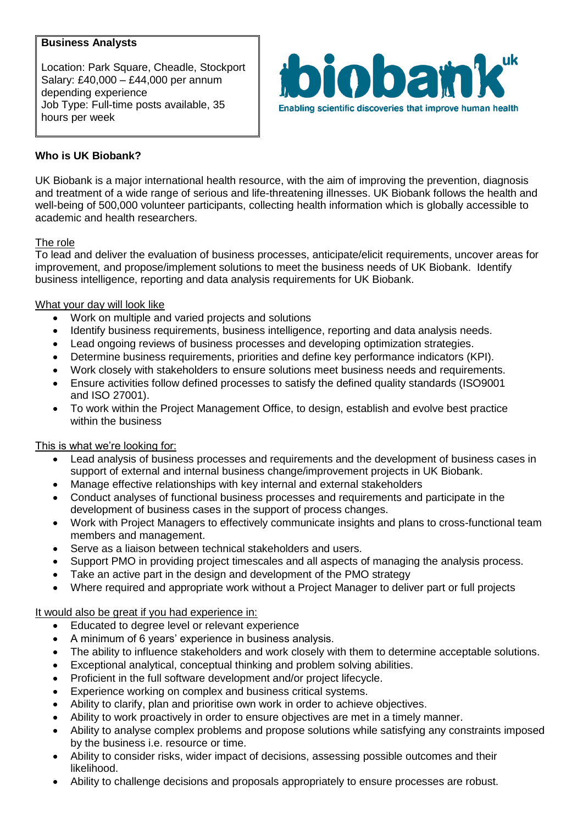## **Business Analysts**

Location: Park Square, Cheadle, Stockport Salary: £40,000 – £44,000 per annum depending experience Job Type: Full-time posts available, 35 hours per week



# **Who is UK Biobank?**

UK Biobank is a major international health resource, with the aim of improving the prevention, diagnosis and treatment of a wide range of serious and life-threatening illnesses. UK Biobank follows the health and well-being of 500,000 volunteer participants, collecting health information which is globally accessible to academic and health researchers.

### The role

To lead and deliver the evaluation of business processes, anticipate/elicit requirements, uncover areas for improvement, and propose/implement solutions to meet the business needs of UK Biobank. Identify business intelligence, reporting and data analysis requirements for UK Biobank.

### What your day will look like

- Work on multiple and varied projects and solutions
- Identify business requirements, business intelligence, reporting and data analysis needs.
- Lead ongoing reviews of business processes and developing optimization strategies.
- Determine business requirements, priorities and define key performance indicators (KPI).
- Work closely with stakeholders to ensure solutions meet business needs and requirements.
- Ensure activities follow defined processes to satisfy the defined quality standards (ISO9001 and ISO 27001).
- To work within the Project Management Office, to design, establish and evolve best practice within the business

### This is what we're looking for:

- Lead analysis of business processes and requirements and the development of business cases in support of external and internal business change/improvement projects in UK Biobank.
- Manage effective relationships with key internal and external stakeholders
- Conduct analyses of functional business processes and requirements and participate in the development of business cases in the support of process changes.
- Work with Project Managers to effectively communicate insights and plans to cross-functional team members and management.
- Serve as a liaison between technical stakeholders and users.
- Support PMO in providing project timescales and all aspects of managing the analysis process.
- Take an active part in the design and development of the PMO strategy
- Where required and appropriate work without a Project Manager to deliver part or full projects

### It would also be great if you had experience in:

- Educated to degree level or relevant experience
- A minimum of 6 years' experience in business analysis.
- The ability to influence stakeholders and work closely with them to determine acceptable solutions.
- Exceptional analytical, conceptual thinking and problem solving abilities.
- Proficient in the full software development and/or project lifecycle.
- Experience working on complex and business critical systems.
- Ability to clarify, plan and prioritise own work in order to achieve objectives.
- Ability to work proactively in order to ensure objectives are met in a timely manner.
- Ability to analyse complex problems and propose solutions while satisfying any constraints imposed by the business i.e. resource or time.
- Ability to consider risks, wider impact of decisions, assessing possible outcomes and their likelihood.
- Ability to challenge decisions and proposals appropriately to ensure processes are robust.